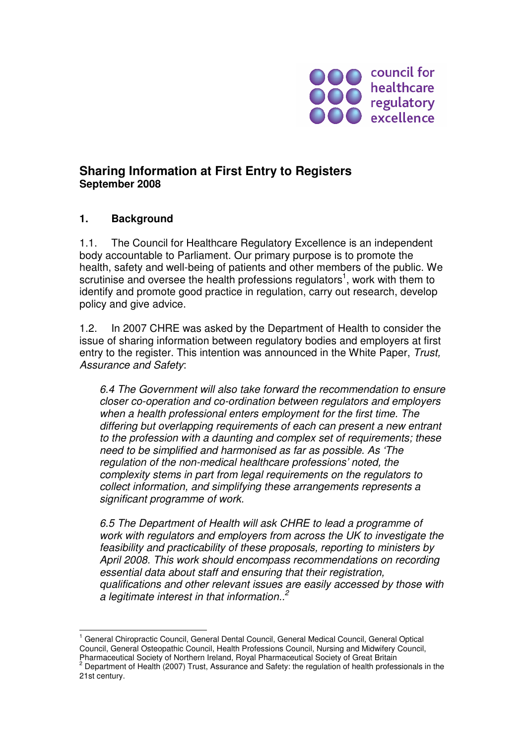

# **Sharing Information at First Entry to Registers September 2008**

#### **1. Background**

1.1. The Council for Healthcare Regulatory Excellence is an independent body accountable to Parliament. Our primary purpose is to promote the health, safety and well-being of patients and other members of the public. We scrutinise and oversee the health professions regulators<sup>1</sup>, work with them to identify and promote good practice in regulation, carry out research, develop policy and give advice.

1.2. In 2007 CHRE was asked by the Department of Health to consider the issue of sharing information between regulatory bodies and employers at first entry to the register. This intention was announced in the White Paper, Trust, Assurance and Safety:

6.4 The Government will also take forward the recommendation to ensure closer co-operation and co-ordination between regulators and employers when a health professional enters employment for the first time. The differing but overlapping requirements of each can present a new entrant to the profession with a daunting and complex set of requirements; these need to be simplified and harmonised as far as possible. As 'The regulation of the non-medical healthcare professions' noted, the complexity stems in part from legal requirements on the regulators to collect information, and simplifying these arrangements represents a significant programme of work.

6.5 The Department of Health will ask CHRE to lead a programme of work with regulators and employers from across the UK to investigate the feasibility and practicability of these proposals, reporting to ministers by April 2008. This work should encompass recommendations on recording essential data about staff and ensuring that their registration, qualifications and other relevant issues are easily accessed by those with a legitimate interest in that information.. $<sup>2</sup>$ </sup>

 $\overline{\phantom{a}}$ <sup>1</sup> General Chiropractic Council, General Dental Council, General Medical Council, General Optical Council, General Osteopathic Council, Health Professions Council, Nursing and Midwifery Council, Pharmaceutical Society of Northern Ireland, Royal Pharmaceutical Society of Great Britain<br><sup>2</sup> Department of Health (2007) Trust, Assurance and Safety: the regulation of health professionals in the

<sup>21</sup>st century.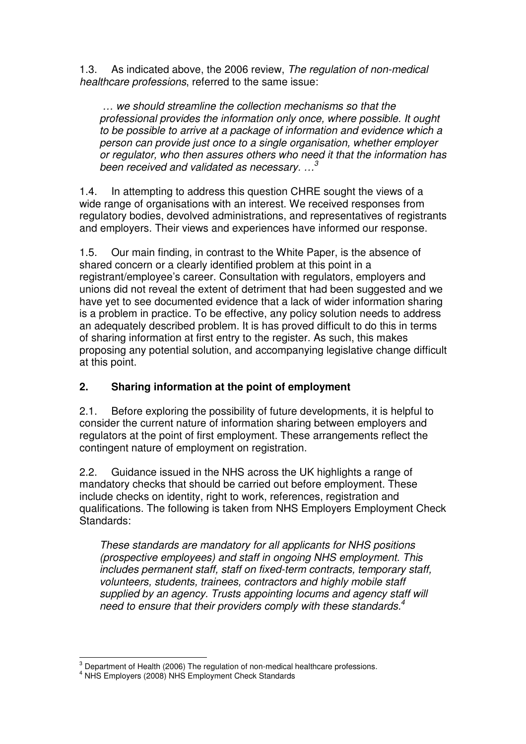1.3. As indicated above, the 2006 review, The regulation of non-medical healthcare professions, referred to the same issue:

 … we should streamline the collection mechanisms so that the professional provides the information only once, where possible. It ought to be possible to arrive at a package of information and evidence which a person can provide just once to a single organisation, whether employer or regulator, who then assures others who need it that the information has been received and validated as necessary.  $\ldots$ <sup>3</sup>

1.4. In attempting to address this question CHRE sought the views of a wide range of organisations with an interest. We received responses from regulatory bodies, devolved administrations, and representatives of registrants and employers. Their views and experiences have informed our response.

1.5. Our main finding, in contrast to the White Paper, is the absence of shared concern or a clearly identified problem at this point in a registrant/employee's career. Consultation with regulators, employers and unions did not reveal the extent of detriment that had been suggested and we have yet to see documented evidence that a lack of wider information sharing is a problem in practice. To be effective, any policy solution needs to address an adequately described problem. It is has proved difficult to do this in terms of sharing information at first entry to the register. As such, this makes proposing any potential solution, and accompanying legislative change difficult at this point.

# **2. Sharing information at the point of employment**

2.1. Before exploring the possibility of future developments, it is helpful to consider the current nature of information sharing between employers and regulators at the point of first employment. These arrangements reflect the contingent nature of employment on registration.

2.2. Guidance issued in the NHS across the UK highlights a range of mandatory checks that should be carried out before employment. These include checks on identity, right to work, references, registration and qualifications. The following is taken from NHS Employers Employment Check Standards:

These standards are mandatory for all applicants for NHS positions (prospective employees) and staff in ongoing NHS employment. This includes permanent staff, staff on fixed-term contracts, temporary staff, volunteers, students, trainees, contractors and highly mobile staff supplied by an agency. Trusts appointing locums and agency staff will need to ensure that their providers comply with these standards.<sup>4</sup>

<sup>&</sup>lt;sup>3</sup> Department of Health (2006) The regulation of non-medical healthcare professions.<br><sup>4</sup> NHS Employers (2008) NHS Employment Check Standards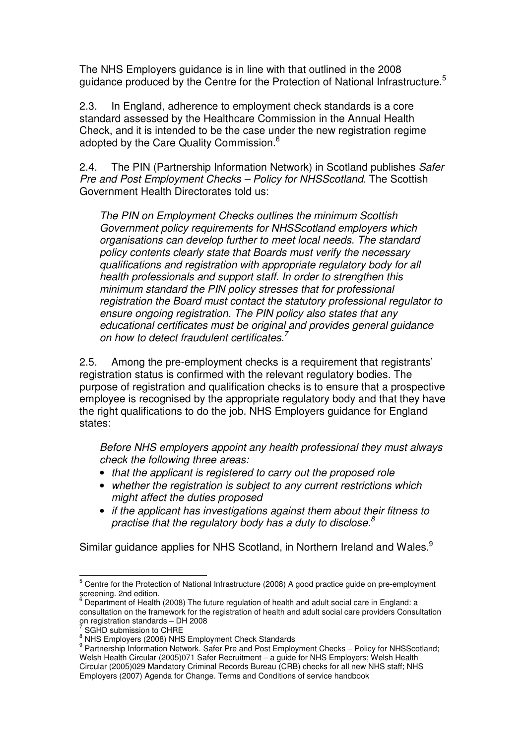The NHS Employers guidance is in line with that outlined in the 2008 guidance produced by the Centre for the Protection of National Infrastructure.<sup>5</sup>

2.3. In England, adherence to employment check standards is a core standard assessed by the Healthcare Commission in the Annual Health Check, and it is intended to be the case under the new registration regime adopted by the Care Quality Commission.<sup>6</sup>

2.4. The PIN (Partnership Information Network) in Scotland publishes Safer Pre and Post Employment Checks – Policy for NHSScotland. The Scottish Government Health Directorates told us:

The PIN on Employment Checks outlines the minimum Scottish Government policy requirements for NHSScotland employers which organisations can develop further to meet local needs. The standard policy contents clearly state that Boards must verify the necessary qualifications and registration with appropriate regulatory body for all health professionals and support staff. In order to strengthen this minimum standard the PIN policy stresses that for professional registration the Board must contact the statutory professional regulator to ensure ongoing registration. The PIN policy also states that any educational certificates must be original and provides general guidance on how to detect fraudulent certificates. $7$ 

2.5. Among the pre-employment checks is a requirement that registrants' registration status is confirmed with the relevant regulatory bodies. The purpose of registration and qualification checks is to ensure that a prospective employee is recognised by the appropriate regulatory body and that they have the right qualifications to do the job. NHS Employers guidance for England states:

Before NHS employers appoint any health professional they must always check the following three areas:

- that the applicant is registered to carry out the proposed role
- whether the registration is subiect to any current restrictions which might affect the duties proposed
- if the applicant has investigations against them about their fitness to practise that the regulatory body has a duty to disclose. $8$

Similar guidance applies for NHS Scotland, in Northern Ireland and Wales.<sup>9</sup>

<sup>&</sup>lt;u>5</u><br><sup>5</sup> Centre for the Protection of National Infrastructure (2008) A good practice guide on pre-employment screening. 2nd edition.<br><sup>6</sup> Department of Health.

Department of Health (2008) The future regulation of health and adult social care in England: a consultation on the framework for the registration of health and adult social care providers Consultation on registration standards – DH 2008<br><sup>7</sup> SCHD submission to CHBE

SGHD submission to CHRE

<sup>&</sup>lt;sup>8</sup> NHS Employers (2008) NHS Employment Check Standards

<sup>&</sup>lt;sup>9</sup> Partnership Information Network. Safer Pre and Post Employment Checks - Policy for NHSScotland; Welsh Health Circular (2005)071 Safer Recruitment – a guide for NHS Employers; Welsh Health Circular (2005)029 Mandatory Criminal Records Bureau (CRB) checks for all new NHS staff; NHS Employers (2007) Agenda for Change. Terms and Conditions of service handbook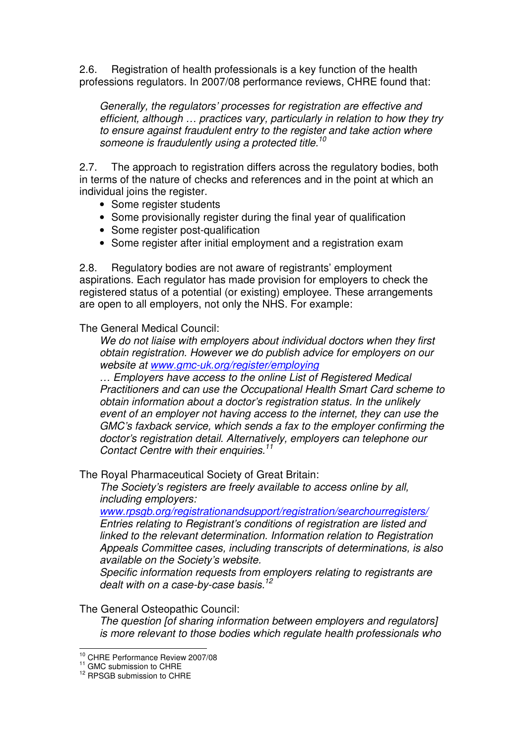2.6. Registration of health professionals is a key function of the health professions regulators. In 2007/08 performance reviews, CHRE found that:

Generally, the regulators' processes for registration are effective and efficient, although … practices vary, particularly in relation to how they try to ensure against fraudulent entry to the register and take action where someone is fraudulently using a protected title.<sup>10</sup>

2.7. The approach to registration differs across the regulatory bodies, both in terms of the nature of checks and references and in the point at which an individual joins the register.

- Some register students
- Some provisionally register during the final year of qualification
- Some register post-qualification
- Some register after initial employment and a registration exam

2.8. Regulatory bodies are not aware of registrants' employment aspirations. Each regulator has made provision for employers to check the registered status of a potential (or existing) employee. These arrangements are open to all employers, not only the NHS. For example:

The General Medical Council:

We do not liaise with employers about individual doctors when they first obtain registration. However we do publish advice for employers on our website at www.gmc-uk.org/register/employing

… Employers have access to the online List of Registered Medical Practitioners and can use the Occupational Health Smart Card scheme to obtain information about a doctor's registration status. In the unlikely event of an employer not having access to the internet, they can use the GMC's faxback service, which sends a fax to the employer confirming the doctor's registration detail. Alternatively, employers can telephone our Contact Centre with their enquiries.<sup>11</sup>

The Royal Pharmaceutical Society of Great Britain:

The Society's registers are freely available to access online by all, including employers:

www.rpsgb.org/registrationandsupport/registration/searchourregisters/ Entries relating to Registrant's conditions of registration are listed and linked to the relevant determination. Information relation to Registration Appeals Committee cases, including transcripts of determinations, is also available on the Society's website.

Specific information requests from employers relating to registrants are dealt with on a case-by-case basis.<sup>12</sup>

The General Osteopathic Council:

The question [of sharing information between employers and regulators] is more relevant to those bodies which regulate health professionals who

 $\overline{a}$ 

 $^{10}_{10}$  CHRE Performance Review 2007/08

 $11$  GMC submission to CHRE

<sup>&</sup>lt;sup>12</sup> RPSGB submission to CHRE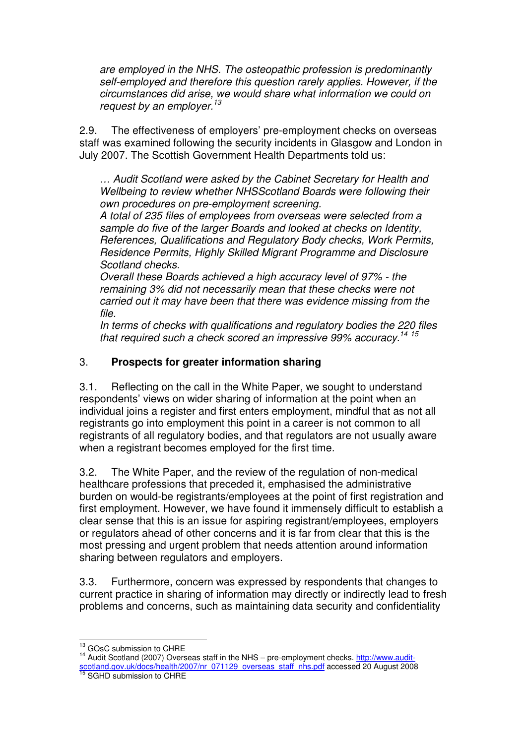are employed in the NHS. The osteopathic profession is predominantly self-employed and therefore this question rarely applies. However, if the circumstances did arise, we would share what information we could on request by an employer.<sup>13</sup>

2.9. The effectiveness of employers' pre-employment checks on overseas staff was examined following the security incidents in Glasgow and London in July 2007. The Scottish Government Health Departments told us:

… Audit Scotland were asked by the Cabinet Secretary for Health and Wellbeing to review whether NHSScotland Boards were following their own procedures on pre-employment screening.

A total of 235 files of employees from overseas were selected from a sample do five of the larger Boards and looked at checks on Identity, References, Qualifications and Regulatory Body checks, Work Permits, Residence Permits, Highly Skilled Migrant Programme and Disclosure Scotland checks.

Overall these Boards achieved a high accuracy level of 97% - the remaining 3% did not necessarily mean that these checks were not carried out it may have been that there was evidence missing from the file.

In terms of checks with qualifications and regulatory bodies the 220 files that required such a check scored an impressive  $99\%$  accuracy.<sup>14 15</sup>

### 3. **Prospects for greater information sharing**

3.1. Reflecting on the call in the White Paper, we sought to understand respondents' views on wider sharing of information at the point when an individual joins a register and first enters employment, mindful that as not all registrants go into employment this point in a career is not common to all registrants of all regulatory bodies, and that regulators are not usually aware when a registrant becomes employed for the first time.

3.2. The White Paper, and the review of the regulation of non-medical healthcare professions that preceded it, emphasised the administrative burden on would-be registrants/employees at the point of first registration and first employment. However, we have found it immensely difficult to establish a clear sense that this is an issue for aspiring registrant/employees, employers or regulators ahead of other concerns and it is far from clear that this is the most pressing and urgent problem that needs attention around information sharing between regulators and employers.

3.3. Furthermore, concern was expressed by respondents that changes to current practice in sharing of information may directly or indirectly lead to fresh problems and concerns, such as maintaining data security and confidentiality

 $\overline{a}$  $^{13}_{12}$  GOsC submission to CHRE

<sup>&</sup>lt;sup>14</sup> Audit Scotland (2007) Overseas staff in the NHS – pre-employment checks. http://www.auditscotland.gov.uk/docs/health/2007/nr\_071129\_overseas\_staff\_nhs.pdf accessed 20 August 2008 <sup>15</sup> SGHD submission to CHRE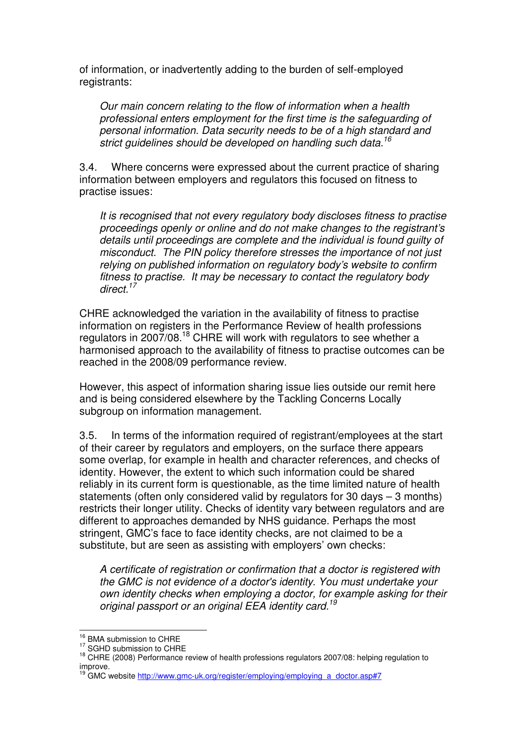of information, or inadvertently adding to the burden of self-employed registrants:

Our main concern relating to the flow of information when a health professional enters employment for the first time is the safeguarding of personal information. Data security needs to be of a high standard and strict quidelines should be developed on handling such data.<sup>16</sup>

3.4. Where concerns were expressed about the current practice of sharing information between employers and regulators this focused on fitness to practise issues:

It is recognised that not every regulatory body discloses fitness to practise proceedings openly or online and do not make changes to the registrant's details until proceedings are complete and the individual is found guilty of misconduct. The PIN policy therefore stresses the importance of not just relying on published information on regulatory body's website to confirm fitness to practise. It may be necessary to contact the regulatory body direct.<sup>17</sup>

CHRE acknowledged the variation in the availability of fitness to practise information on registers in the Performance Review of health professions regulators in 2007/08.<sup>18</sup> CHRE will work with regulators to see whether a harmonised approach to the availability of fitness to practise outcomes can be reached in the 2008/09 performance review.

However, this aspect of information sharing issue lies outside our remit here and is being considered elsewhere by the Tackling Concerns Locally subgroup on information management.

3.5. In terms of the information required of registrant/employees at the start of their career by regulators and employers, on the surface there appears some overlap, for example in health and character references, and checks of identity. However, the extent to which such information could be shared reliably in its current form is questionable, as the time limited nature of health statements (often only considered valid by regulators for 30 days – 3 months) restricts their longer utility. Checks of identity vary between regulators and are different to approaches demanded by NHS guidance. Perhaps the most stringent, GMC's face to face identity checks, are not claimed to be a substitute, but are seen as assisting with employers' own checks:

A certificate of registration or confirmation that a doctor is registered with the GMC is not evidence of a doctor's identity. You must undertake your own identity checks when employing a doctor, for example asking for their original passport or an original EEA identity card.<sup>19</sup>

 $\overline{\phantom{a}}$ <sup>16</sup> BMA submission to CHRE

<sup>&</sup>lt;sup>17</sup> SGHD submission to CHRE

<sup>&</sup>lt;sup>18</sup> CHRE (2008) Performance review of health professions regulators 2007/08: helping regulation to improve.

<sup>19</sup> GMC website http://www.gmc-uk.org/register/employing/employing\_a\_doctor.asp#7